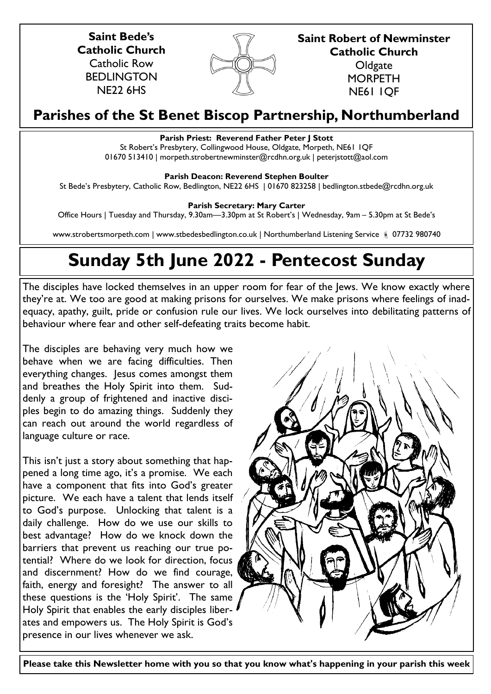**Saint Bede's Catholic Church** Catholic Row BEDLINGTON NE22 6HS



**Saint Robert of Newminster Catholic Church Oldgate MORPETH** 

NE61 1QF

# **Parishes of the St Benet Biscop Partnership, Northumberland**

# **Parish Priest: Reverend Father Peter J Stott**

St Robert's Presbytery, Collingwood House, Oldgate, Morpeth, NE61 1QF 01670 513410 | morpeth.strobertnewminster@rcdhn.org.uk | peterjstott@aol.com

# **Parish Deacon: Reverend Stephen Boulter**

St Bede's Presbytery, Catholic Row, Bedlington, NE22 6HS | 01670 823258 | bedlington.stbede@rcdhn.org.uk

# **Parish Secretary: Mary Carter**

Office Hours | Tuesday and Thursday, 9.30am—3.30pm at St Robert's | Wednesday, 9am – 5.30pm at St Bede's

www.strobertsmorpeth.com | www.stbedesbedlington.co.uk | Northumberland Listening Service | 07732 980740

# **Sunday 5th June 2022 - Pentecost Sunday**

The disciples have locked themselves in an upper room for fear of the Jews. We know exactly where they're at. We too are good at making prisons for ourselves. We make prisons where feelings of inadequacy, apathy, guilt, pride or confusion rule our lives. We lock ourselves into debilitating patterns of behaviour where fear and other self-defeating traits become habit.

The disciples are behaving very much how we behave when we are facing difficulties. Then everything changes. Jesus comes amongst them and breathes the Holy Spirit into them. Suddenly a group of frightened and inactive disciples begin to do amazing things. Suddenly they can reach out around the world regardless of language culture or race.

This isn't just a story about something that happened a long time ago, it's a promise. We each have a component that fits into God's greater picture. We each have a talent that lends itself to God's purpose. Unlocking that talent is a daily challenge. How do we use our skills to best advantage? How do we knock down the barriers that prevent us reaching our true potential? Where do we look for direction, focus and discernment? How do we find courage, faith, energy and foresight? The answer to all these questions is the 'Holy Spirit'. The same Holy Spirit that enables the early disciples liberates and empowers us. The Holy Spirit is God's presence in our lives whenever we ask.



**Please take this Newsletter home with you so that you know what's happening in your parish this week**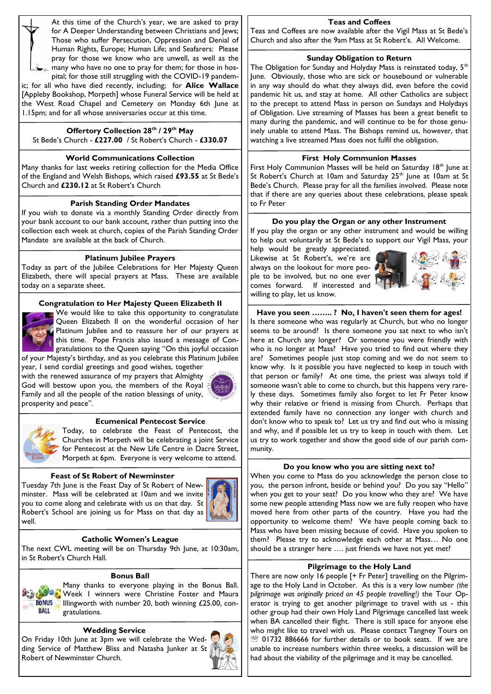At this time of the Church's year, we are asked to pray for A Deeper Understanding between Christians and Jews; Those who suffer Persecution, Oppression and Denial of Human Rights, Europe; Human Life; and Seafarers: Please pray for those we know who are unwell, as well as the many who have no one to pray for them; for those in hos-

pital; for those still struggling with the COVID-19 pandemic; for all who have died recently, including; for **Alice Wallace**  [Appleby Bookshop, Morpeth] whose Funeral Service will be held at the West Road Chapel and Cemetery on Monday 6th June at 1.15pm; and for all whose anniversaries occur at this time.

# **Offertory Collection 28th / 29th May**

St Bede's Church - **£227.00** / St Robert's Church - **£330.07**

# **World Communications Collection**

Many thanks for last weeks retiring collection for the Media Office of the England and Welsh Bishops, which raised **£93.55** at St Bede's Church and **£230.12** at St Robert's Church

# **Parish Standing Order Mandates**

If you wish to donate via a monthly Standing Order directly from your bank account to our bank account, rather than putting into the collection each week at church, copies of the Parish Standing Order Mandate are available at the back of Church.

# **Platinum Jubilee Prayers**

Today as part of the Jubilee Celebrations for Her Majesty Queen Elizabeth, there will special prayers at Mass. These are available today on a separate sheet.

# **Congratulation to Her Majesty Queen Elizabeth II**



We would like to take this opportunity to congratulate Queen Elizabeth II on the wonderful occasion of her Platinum Jubilee and to reassure her of our prayers at this time. Pope Francis also issued a message of Congratulations to the Queen saying "On this joyful occasion of your Majesty's birthday, and as you celebrate this Platinum Jubilee

year, I send cordial greetings and good wishes, together with the renewed assurance of my prayers that Almighty God will bestow upon you, the members of the Royal Family and all the people of the nation blessings of unity, prosperity and peace".





# **Ecumenical Pentecost Service**

Today, to celebrate the Feast of Pentecost, the Churches in Morpeth will be celebrating a joint Service for Pentecost at the New Life Centre in Dacre Street, Morpeth at 6pm. Everyone is very welcome to attend.

# **Feast of St Robert of Newminster**

Tuesday 7th June is the Feast Day of St Robert of Newminster. Mass will be celebrated at 10am and we invite you to come along and celebrate with us on that day. St Robert's School are joining us for Mass on that day as well.



# **Catholic Women's League**

The next CWL meeting will be on Thursday 9th June, at 10:30am, in St Robert's Church Hall.

#### **Bonus Ball**

Many thanks to everyone playing in the Bonus Ball. Week 1 winners were Christine Foster and Maura **BONUS** Illingworth with number 20, both winning £25.00, con-**BALL** gratulations.

#### **Wedding Service**

On Friday 10th June at 3pm we will celebrate the Wedding Service of Matthew Bliss and Natasha Junker at St Robert of Newminster Church.



#### **Teas and Coffees**

Teas and Coffees are now available after the Vigil Mass at St Bede's Church and also after the 9am Mass at St Robert's. All Welcome.

#### **Sunday Obligation to Return**

The Obligation for Sunday and Holyday Mass is reinstated today, 5<sup>th</sup> June. Obviously, those who are sick or housebound or vulnerable in any way should do what they always did, even before the covid pandemic hit us, and stay at home. All other Catholics are subject to the precept to attend Mass in person on Sundays and Holydays of Obligation. Live streaming of Masses has been a great benefit to many during the pandemic, and will continue to be for those genuinely unable to attend Mass. The Bishops remind us, however, that watching a live streamed Mass does not fulfil the obligation.

# **First Holy Communion Masses**

First Holy Communion Masses will be held on Saturday 18<sup>th</sup> June at St Robert's Church at 10am and Saturday 25<sup>th</sup> June at 10am at St Bede's Church. Please pray for all the families involved. Please note that if there are any queries about these celebrations, please speak to Fr Peter

# **Do you play the Organ or any other Instrument**

If you play the organ or any other instrument and would be willing to help out voluntarily at St Bede's to support our Vigil Mass, your

help would be greatly appreciated. Likewise at St Robert's, we're are always on the lookout for more people to be involved, but no one ever comes forward. If interested and willing to play, let us know.



**Have you seen …….. ? No, I haven't seen them for ages!** Is there someone who was regularly at Church, but who no longer seems to be around? Is there someone you sat next to who isn't here at Church any longer? Or someone you were friendly with who is no longer at Mass? Have you tried to find out where they are? Sometimes people just stop coming and we do not seem to know why. Is it possible you have neglected to keep in touch with that person or family? At one time, the priest was always told if someone wasn't able to come to church, but this happens very rarely these days. Sometimes family also forget to let Fr Peter know why their relative or friend is missing from Church. Perhaps that extended family have no connection any longer with church and don't know who to speak to? Let us try and find out who is missing and why, and if possible let us try to keep in touch with them. Let us try to work together and show the good side of our parish community.

# **Do you know who you are sitting next to?**

When you come to Mass do you acknowledge the person close to you, the person infront, beside or behind you? Do you say "Hello" when you get to your seat? Do you know who they are? We have some new people attending Mass now we are fully reopen who have moved here from other parts of the country. Have you had the opportunity to welcome them? We have people coming back to Mass who have been missing because of covid. Have you spoken to them? Please try to acknowledge each other at Mass… No one should be a stranger here …. just friends we have not yet met?

# **Pilgrimage to the Holy Land**

There are now only 16 people [+ Fr Peter] travelling on the Pilgrimage to the Holy Land in October. As this is a very low number *(the pilgrimage was originally priced on 45 people travelling!)* the Tour Operator is trying to get another pilgrimage to travel with us - this other group had their own Holy Land Pilgrimage cancelled last week when BA cancelled their flight. There is still space for anyone else who might like to travel with us. Please contact Tangney Tours on 01732 886666 for further details or to book seats. If we are unable to increase numbers within three weeks, a discussion will be had about the viability of the pilgrimage and it may be cancelled.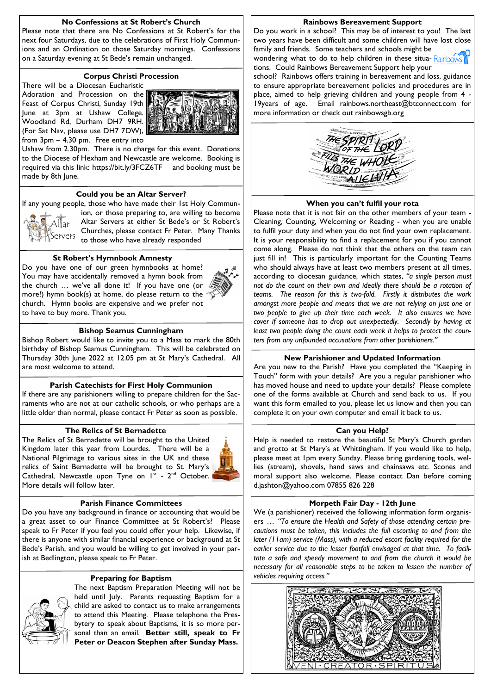# **No Confessions at St Robert's Church**

Please note that there are No Confessions at St Robert's for the next four Saturdays, due to the celebrations of First Holy Communions and an Ordination on those Saturday mornings. Confessions on a Saturday evening at St Bede's remain unchanged.

# **Corpus Christi Procession**

There will be a Diocesan Eucharistic Adoration and Procession on the Feast of Corpus Christi, Sunday 19th June at 3pm at Ushaw College. Woodland Rd, Durham DH7 9RH. (For Sat Nav, please use DH7 7DW), from 3pm – 4.30 pm. Free entry into



Ushaw from 2.30pm. There is no charge for this event. Donations to the Diocese of Hexham and Newcastle are welcome. Booking is required via this link: https://bit.ly/3FCZ6TF and booking must be made by 8th June.

#### **Could you be an Altar Server?**

If any young people, those who have made their 1st Holy Commun-



ion, or those preparing to, are willing to become Altar Servers at either St Bede's or St Robert's Churches, please contact Fr Peter. Many Thanks  $\overline{\text{S}}$ ervers Uniquities, prease concerns

#### **St Robert's Hymnbook Amnesty**

Do you have one of our green hymnbooks at home? You may have accidentally removed a hymn book from the church … we've all done it! If you have one (or more!) hymn book(s) at home, do please return to the church. Hymn books are expensive and we prefer not to have to buy more. Thank you.



#### **Bishop Seamus Cunningham**

Bishop Robert would like to invite you to a Mass to mark the 80th birthday of Bishop Seamus Cunningham. This will be celebrated on Thursday 30th June 2022 at 12.05 pm at St Mary's Cathedral. All are most welcome to attend.

#### **Parish Catechists for First Holy Communion**

If there are any parishioners willing to prepare children for the Sacraments who are not at our catholic schools, or who perhaps are a little older than normal, please contact Fr Peter as soon as possible.

#### **The Relics of St Bernadette**

The Relics of St Bernadette will be brought to the United Kingdom later this year from Lourdes. There will be a National Pilgrimage to various sites in the UK and these relics of Saint Bernadette will be brought to St. Mary's Cathedral, Newcastle upon Tyne on  $I^{st}$  -  $2^{nd}$  October. More details will follow later.



#### **Parish Finance Committees**

Do you have any background in finance or accounting that would be a great asset to our Finance Committee at St Robert's? Please speak to Fr Peter if you feel you could offer your help. Likewise, if there is anyone with similar financial experience or background at St Bede's Parish, and you would be willing to get involved in your parish at Bedlington, please speak to Fr Peter.

#### **Preparing for Baptism**



The next Baptism Preparation Meeting will not be held until July. Parents requesting Baptism for a child are asked to contact us to make arrangements to attend this Meeting. Please telephone the Presbytery to speak about Baptisms, it is so more personal than an email. **Better still, speak to Fr Peter or Deacon Stephen after Sunday Mass.**

#### **Rainbows Bereavement Support**

Do you work in a school? This may be of interest to you! The last two years have been difficult and some children will have lost close family and friends. Some teachers and schools might be

wondering what to do to help children in these situa-Rainbows tions. Could Rainbows Bereavement Support help your

school? Rainbows offers training in bereavement and loss, guidance to ensure appropriate bereavement policies and procedures are in place, aimed to help grieving children and young people from 4 -19years of age. Email rainbows.northeast@btconnect.com for more information or check out rainbowsgb.org



#### **When you can't fulfil your rota**

Please note that it is not fair on the other members of your team -Cleaning, Counting, Welcoming or Reading - when you are unable to fulfil your duty and when you do not find your own replacement. It is your responsibility to find a replacement for you if you cannot come along. Please do not think that the others on the team can just fill in! This is particularly important for the Counting Teams who should always have at least two members present at all times, according to diocesan guidance, which states, *"a single person must not do the count on their own and ideally there should be a rotation of teams. The reason for this is two-fold. Firstly it distributes the work amongst more people and means that we are not relying on just one or two people to give up their time each week. It also ensures we have cover if someone has to drop out unexpectedly. Secondly by having at least two people doing the count each week it helps to protect the counters from any unfounded accusations from other parishioners."*

#### **New Parishioner and Updated Information**

Are you new to the Parish? Have you completed the "Keeping in Touch" form with your details? Are you a regular parishioner who has moved house and need to update your details? Please complete one of the forms available at Church and send back to us. If you want this form emailed to you, please let us know and then you can complete it on your own computer and email it back to us.

#### **Can you Help?**

Help is needed to restore the beautiful St Mary's Church garden and grotto at St Mary's at Whittingham. If you would like to help, please meet at 1pm every Sunday. Please bring gardening tools, wellies (stream), shovels, hand saws and chainsaws etc. Scones and moral support also welcome. Please contact Dan before coming d.jashton@yahoo.com 07855 826 228

#### **Morpeth Fair Day - 12th June**

We (a parishioner) received the following information form organisers … *"To ensure the Health and Safety of those attending certain precautions must be taken, this includes the full escorting to and from the later (11am) service (Mass), with a reduced escort facility required for the earlier service due to the lesser footfall envisaged at that time. To facilitate a safe and speedy movement to and from the church it would be necessary for all reasonable steps to be taken to lessen the number of vehicles requiring access."*